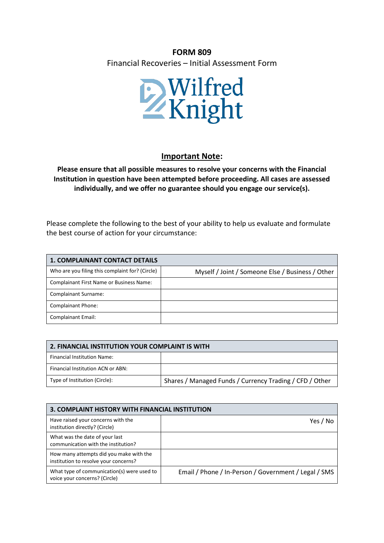## **FORM 809**

Financial Recoveries – Initial Assessment Form



## **Important Note:**

**Please ensure that all possible measures to resolve your concerns with the Financial Institution in question have been attempted before proceeding. All cases are assessed individually, and we offer no guarantee should you engage our service(s).**

Please complete the following to the best of your ability to help us evaluate and formulate the best course of action for your circumstance:

| <b>1. COMPLAINANT CONTACT DETAILS</b>           |                                                  |
|-------------------------------------------------|--------------------------------------------------|
| Who are you filing this complaint for? (Circle) | Myself / Joint / Someone Else / Business / Other |
| Complainant First Name or Business Name:        |                                                  |
| <b>Complainant Surname:</b>                     |                                                  |
| <b>Complainant Phone:</b>                       |                                                  |
| <b>Complainant Email:</b>                       |                                                  |

| 2. FINANCIAL INSTITUTION YOUR COMPLAINT IS WITH |                                                         |
|-------------------------------------------------|---------------------------------------------------------|
| Financial Institution Name:                     |                                                         |
| Financial Institution ACN or ABN:               |                                                         |
| Type of Institution (Circle):                   | Shares / Managed Funds / Currency Trading / CFD / Other |

| 3. COMPLAINT HISTORY WITH FINANCIAL INSTITUTION                                  |                                                      |
|----------------------------------------------------------------------------------|------------------------------------------------------|
| Have raised your concerns with the<br>institution directly? (Circle)             | Yes / No                                             |
| What was the date of your last<br>communication with the institution?            |                                                      |
| How many attempts did you make with the<br>institution to resolve your concerns? |                                                      |
| What type of communication(s) were used to<br>voice your concerns? (Circle)      | Email / Phone / In-Person / Government / Legal / SMS |